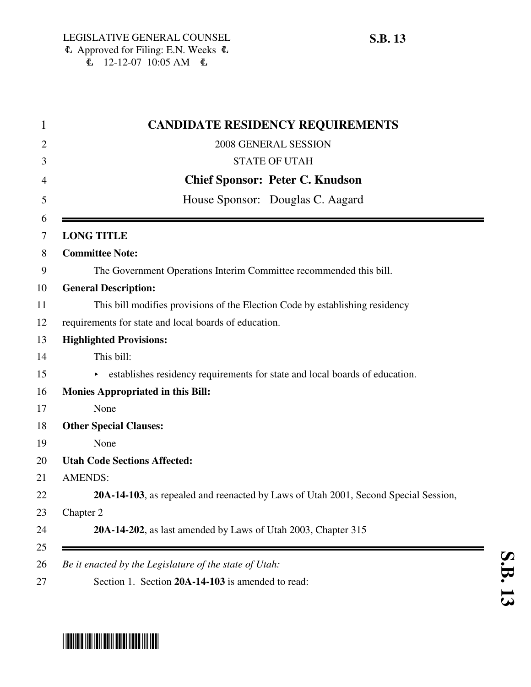| <b>CANDIDATE RESIDENCY REQUIREMENTS</b>                                             |
|-------------------------------------------------------------------------------------|
| 2008 GENERAL SESSION                                                                |
| <b>STATE OF UTAH</b>                                                                |
| <b>Chief Sponsor: Peter C. Knudson</b>                                              |
| House Sponsor: Douglas C. Aagard                                                    |
| <b>LONG TITLE</b>                                                                   |
| <b>Committee Note:</b>                                                              |
| The Government Operations Interim Committee recommended this bill.                  |
| <b>General Description:</b>                                                         |
| This bill modifies provisions of the Election Code by establishing residency        |
| requirements for state and local boards of education.                               |
| <b>Highlighted Provisions:</b>                                                      |
| This bill:                                                                          |
| establishes residency requirements for state and local boards of education.         |
| <b>Monies Appropriated in this Bill:</b>                                            |
| None                                                                                |
| <b>Other Special Clauses:</b>                                                       |
| None                                                                                |
| <b>Utah Code Sections Affected:</b>                                                 |
| <b>AMENDS:</b>                                                                      |
| 20A-14-103, as repealed and reenacted by Laws of Utah 2001, Second Special Session, |
| Chapter 2                                                                           |
| 20A-14-202, as last amended by Laws of Utah 2003, Chapter 315                       |
| Be it enacted by the Legislature of the state of Utah:                              |
| Section 1. Section 20A-14-103 is amended to read:                                   |

# \* SB0013113 \* SB111 | 1911 | 1911 | 1911 | 1911 | 1911 | 1911 | 1911 | 1911 | 1911 | 1911 | 1911 | 1911 | 1911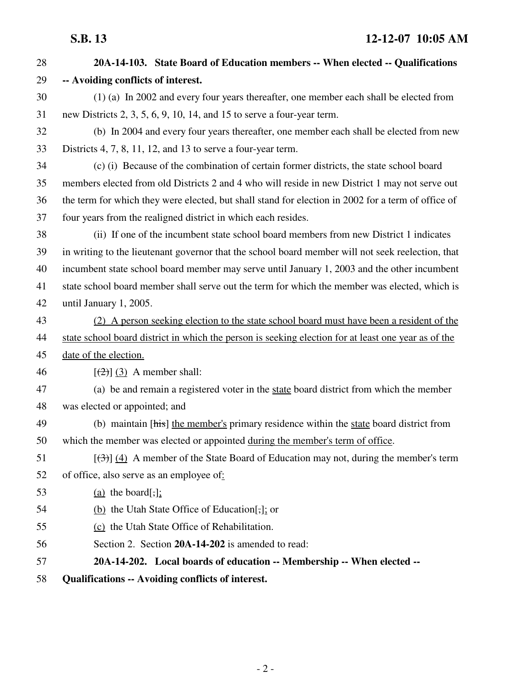| 28 | 20A-14-103. State Board of Education members -- When elected -- Qualifications                              |
|----|-------------------------------------------------------------------------------------------------------------|
| 29 | -- Avoiding conflicts of interest.                                                                          |
| 30 | (1) (a) In 2002 and every four years thereafter, one member each shall be elected from                      |
| 31 | new Districts 2, 3, 5, 6, 9, 10, 14, and 15 to serve a four-year term.                                      |
| 32 | (b) In 2004 and every four years thereafter, one member each shall be elected from new                      |
| 33 | Districts 4, 7, 8, 11, 12, and 13 to serve a four-year term.                                                |
| 34 | (c) (i) Because of the combination of certain former districts, the state school board                      |
| 35 | members elected from old Districts 2 and 4 who will reside in new District 1 may not serve out              |
| 36 | the term for which they were elected, but shall stand for election in 2002 for a term of office of          |
| 37 | four years from the realigned district in which each resides.                                               |
| 38 | (ii) If one of the incumbent state school board members from new District 1 indicates                       |
| 39 | in writing to the lieutenant governor that the school board member will not seek reelection, that           |
| 40 | incumbent state school board member may serve until January 1, 2003 and the other incumbent                 |
| 41 | state school board member shall serve out the term for which the member was elected, which is               |
| 42 | until January 1, 2005.                                                                                      |
| 43 | (2) A person seeking election to the state school board must have been a resident of the                    |
| 44 | state school board district in which the person is seeking election for at least one year as of the         |
| 45 | date of the election.                                                                                       |
| 46 | $[\frac{2}{2}]$ (3) A member shall:                                                                         |
| 47 | (a) be and remain a registered voter in the state board district from which the member                      |
| 48 | was elected or appointed; and                                                                               |
| 49 | (b) maintain [his] the member's primary residence within the state board district from                      |
| 50 | which the member was elected or appointed during the member's term of office.                               |
| 51 | $\left[\frac{1}{(1)}\right]$ (4) A member of the State Board of Education may not, during the member's term |
| 52 | of office, also serve as an employee of:                                                                    |
| 53 | (a) the board[,];                                                                                           |
| 54 | (b) the Utah State Office of Education[,]: or                                                               |
| 55 | (c) the Utah State Office of Rehabilitation.                                                                |
| 56 | Section 2. Section 20A-14-202 is amended to read:                                                           |
| 57 | 20A-14-202. Local boards of education -- Membership -- When elected --                                      |
| 58 | <b>Qualifications -- Avoiding conflicts of interest.</b>                                                    |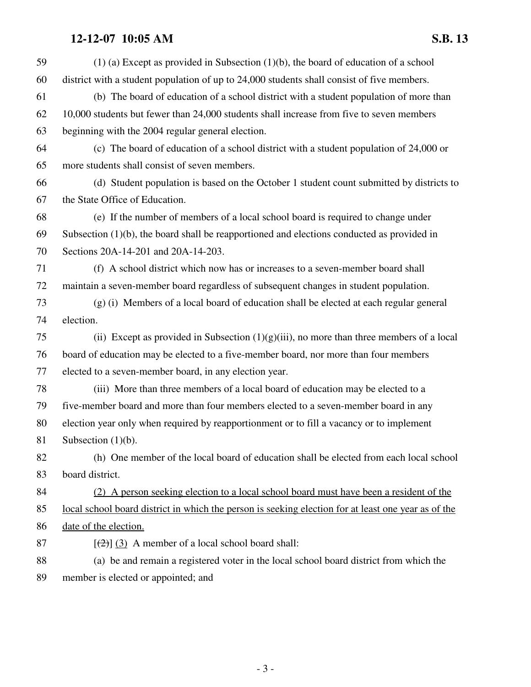# **12-12-07 10:05 AM S.B. 13**

| 59 | $(1)$ (a) Except as provided in Subsection $(1)(b)$ , the board of education of a school            |
|----|-----------------------------------------------------------------------------------------------------|
| 60 | district with a student population of up to 24,000 students shall consist of five members.          |
| 61 | (b) The board of education of a school district with a student population of more than              |
| 62 | 10,000 students but fewer than 24,000 students shall increase from five to seven members            |
| 63 | beginning with the 2004 regular general election.                                                   |
| 64 | (c) The board of education of a school district with a student population of 24,000 or              |
| 65 | more students shall consist of seven members.                                                       |
| 66 | (d) Student population is based on the October 1 student count submitted by districts to            |
| 67 | the State Office of Education.                                                                      |
| 68 | (e) If the number of members of a local school board is required to change under                    |
| 69 | Subsection $(1)(b)$ , the board shall be reapportioned and elections conducted as provided in       |
| 70 | Sections 20A-14-201 and 20A-14-203.                                                                 |
| 71 | (f) A school district which now has or increases to a seven-member board shall                      |
| 72 | maintain a seven-member board regardless of subsequent changes in student population.               |
| 73 | (g) (i) Members of a local board of education shall be elected at each regular general              |
| 74 | election.                                                                                           |
| 75 | (ii) Except as provided in Subsection $(1)(g)(iii)$ , no more than three members of a local         |
| 76 | board of education may be elected to a five-member board, nor more than four members                |
| 77 | elected to a seven-member board, in any election year.                                              |
| 78 | (iii) More than three members of a local board of education may be elected to a                     |
| 79 | five-member board and more than four members elected to a seven-member board in any                 |
| 80 | election year only when required by reapportionment or to fill a vacancy or to implement            |
| 81 | Subsection $(1)(b)$ .                                                                               |
| 82 | (h) One member of the local board of education shall be elected from each local school              |
| 83 | board district.                                                                                     |
| 84 | (2) A person seeking election to a local school board must have been a resident of the              |
| 85 | local school board district in which the person is seeking election for at least one year as of the |
| 86 | date of the election.                                                                               |
| 87 | $[\frac{2}{2}]$ (3) A member of a local school board shall:                                         |
| 88 | (a) be and remain a registered voter in the local school board district from which the              |
| 89 | member is elected or appointed; and                                                                 |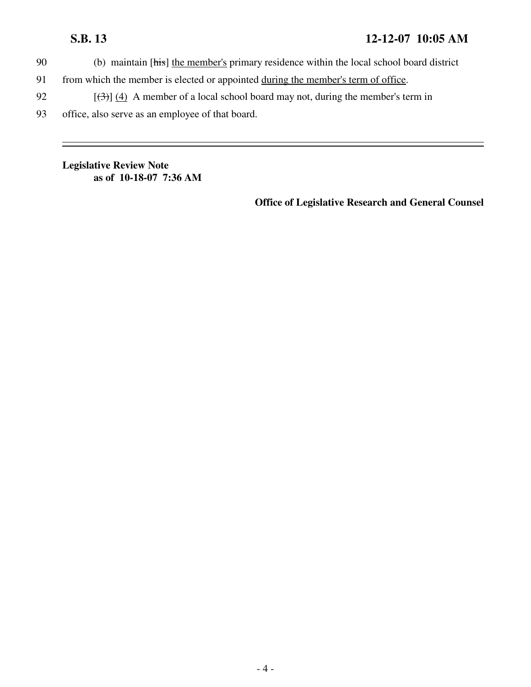- 90 (b) maintain [his] the member's primary residence within the local school board district
- 91 from which the member is elected or appointed during the member's term of office.
- 92  $\left[\left(\frac{3}{2}\right)\right]$  (4) A member of a local school board may not, during the member's term in
- 93 office, also serve as an employee of that board.

**Legislative Review Note as of 10-18-07 7:36 AM**

**Office of Legislative Research and General Counsel**